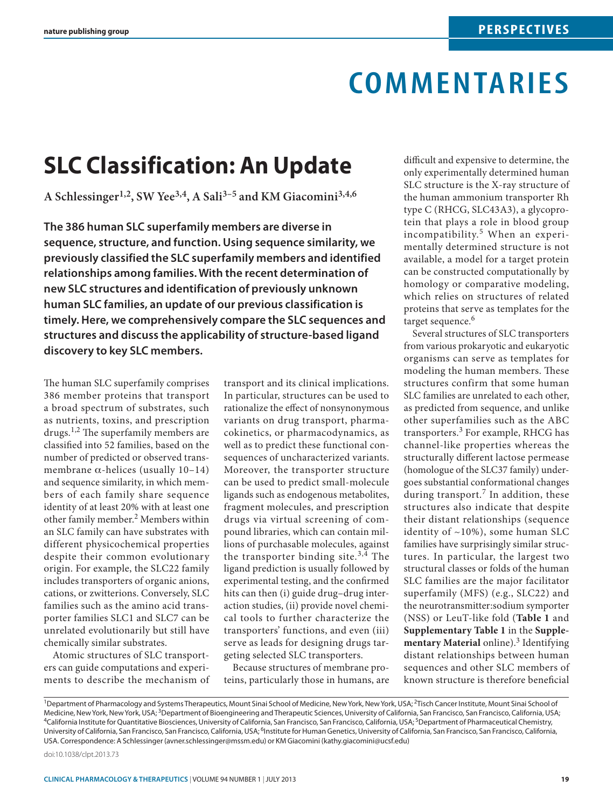# **commentaries**

## **SLC Classification: An Update**

**A Schlessinger1,2, SW Yee3,4, A Sali3–5 and KM Giacomini3,4,6**

**The 386 human SLC superfamily members are diverse in sequence, structure, and function. Using sequence similarity, we previously classified the SLC superfamily members and identified relationships among families. With the recent determination of new SLC structures and identification of previously unknown human SLC families, an update of our previous classification is timely. Here, we comprehensively compare the SLC sequences and structures and discuss the applicability of structure-based ligand discovery to key SLC members.**

The human SLC superfamily comprises 386 member proteins that transport a broad spectrum of substrates, such as nutrients, toxins, and prescription drugs.1,2 The superfamily members are classified into 52 families, based on the number of predicted or observed transmembrane  $\alpha$ -helices (usually 10–14) and sequence similarity, in which members of each family share sequence identity of at least 20% with at least one other family member.2 Members within an SLC family can have substrates with different physicochemical properties despite their common evolutionary origin. For example, the SLC22 family includes transporters of organic anions, cations, or zwitterions. Conversely, SLC families such as the amino acid transporter families SLC1 and SLC7 can be unrelated evolutionarily but still have chemically similar substrates.

Atomic structures of SLC transporters can guide computations and experiments to describe the mechanism of transport and its clinical implications. In particular, structures can be used to rationalize the effect of nonsynonymous variants on drug transport, pharmacokinetics, or pharmacodynamics, as well as to predict these functional consequences of uncharacterized variants. Moreover, the transporter structure can be used to predict small-molecule ligands such as endogenous metabolites, fragment molecules, and prescription drugs via virtual screening of compound libraries, which can contain millions of purchasable molecules, against the transporter binding site. $3,4$  The ligand prediction is usually followed by experimental testing, and the confirmed hits can then (i) guide drug–drug interaction studies, (ii) provide novel chemical tools to further characterize the transporters' functions, and even (iii) serve as leads for designing drugs targeting selected SLC transporters.

Because structures of membrane proteins, particularly those in humans, are difficult and expensive to determine, the only experimentally determined human SLC structure is the X-ray structure of the human ammonium transporter Rh type C (RHCG, SLC43A3), a glycoprotein that plays a role in blood group incompatibility.5 When an experimentally determined structure is not available, a model for a target protein can be constructed computationally by homology or comparative modeling, which relies on structures of related proteins that serve as templates for the target sequence.<sup>6</sup>

Several structures of SLC transporters from various prokaryotic and eukaryotic organisms can serve as templates for modeling the human members. These structures confirm that some human SLC families are unrelated to each other, as predicted from sequence, and unlike other superfamilies such as the ABC transporters.3 For example, RHCG has channel-like properties whereas the structurally different lactose permease (homologue of the SLC37 family) undergoes substantial conformational changes during transport.<sup>7</sup> In addition, these structures also indicate that despite their distant relationships (sequence identity of ~10%), some human SLC families have surprisingly similar structures. In particular, the largest two structural classes or folds of the human SLC families are the major facilitator superfamily (MFS) (e.g., SLC22) and the neurotransmitter:sodium symporter (NSS) or LeuT-like fold (**Table 1** and **Supplementary Table 1** in the **Supplementary Material** online).<sup>3</sup> Identifying distant relationships between human sequences and other SLC members of known structure is therefore beneficial

<sup>1</sup>Department of Pharmacology and Systems Therapeutics, Mount Sinai School of Medicine, New York, New York, USA; <sup>2</sup>Tisch Cancer Institute, Mount Sinai School of Medicine, New York, New York, USA; <sup>3</sup>Department of Bioengineering and Therapeutic Sciences, University of California, San Francisco, San Francisco, California, USA; <sup>5</sup>Department of Pharmaceutical Chemistry,<br><sup>4</sup>California University of California, San Francisco, San Francisco, California, USA; <sup>6</sup>Institute for Human Genetics, University of California, San Francisco, San Francisco, California, USA. Correspondence: A Schlessinger [\(avner.schlessinger@mssm.edu\)](mailto:avner.schlessinger@mssm.edu) or KM Giacomini (kathy.giacomini@ucsf.edu)

[doi:10.1038/clpt.2013.73](http://www.nature.com/doifinder/10.1038/clpt.2013.73)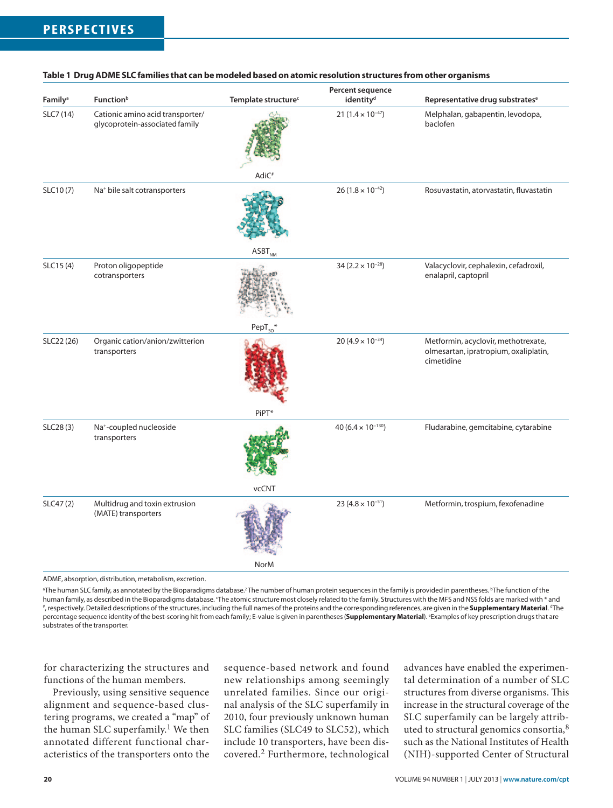|                     |                                                                    |                                 | Percent sequence                      |                                                                                            |
|---------------------|--------------------------------------------------------------------|---------------------------------|---------------------------------------|--------------------------------------------------------------------------------------------|
| Family <sup>a</sup> | <b>Function</b> <sup>b</sup>                                       | Template structure <sup>c</sup> | identity <sup>d</sup>                 | Representative drug substrates <sup>e</sup>                                                |
| SLC7 (14)           | Cationic amino acid transporter/<br>glycoprotein-associated family |                                 | 21 $(1.4 \times 10^{-47})$            | Melphalan, gabapentin, levodopa,<br>baclofen                                               |
|                     |                                                                    | AdiC <sup>#</sup>               |                                       |                                                                                            |
| SLC10(7)            | Na <sup>+</sup> bile salt cotransporters                           |                                 | $26(1.8 \times 10^{-42})$             | Rosuvastatin, atorvastatin, fluvastatin                                                    |
|                     |                                                                    | $ASBT_{NMA}$                    |                                       |                                                                                            |
| SLC15(4)            | Proton oligopeptide<br>cotransporters                              |                                 | 34 (2.2 $\times$ 10 <sup>-28</sup> )  | Valacyclovir, cephalexin, cefadroxil,<br>enalapril, captopril                              |
|                     |                                                                    | $PepT_{SO}$                     |                                       |                                                                                            |
| SLC22 (26)          | Organic cation/anion/zwitterion<br>transporters                    |                                 | 20 (4.9 $\times$ 10 <sup>-34</sup> )  | Metformin, acyclovir, methotrexate,<br>olmesartan, ipratropium, oxaliplatin,<br>cimetidine |
|                     |                                                                    | PiPT*                           |                                       |                                                                                            |
| SLC28(3)            | Na <sup>+</sup> -coupled nucleoside<br>transporters                |                                 | 40 (6.4 $\times$ 10 <sup>-130</sup> ) | Fludarabine, gemcitabine, cytarabine                                                       |
|                     |                                                                    | vcCNT                           |                                       |                                                                                            |
| SLC47(2)            | Multidrug and toxin extrusion<br>(MATE) transporters               |                                 | 23 (4.8 $\times$ 10 <sup>-51</sup> )  | Metformin, trospium, fexofenadine                                                          |
|                     |                                                                    | <b>NorM</b>                     |                                       |                                                                                            |

#### **Table 1 Drug ADME SLC families that can be modeled based on atomic resolution structures from other organisms**

ADME, absorption, distribution, metabolism, excretion.

ªThe human SLC family, as annotated by the Bioparadigms database.<sup>2</sup>The number of human protein sequences in the family is provided in parentheses. <sup>b</sup>The function of the human family, as described in the Bioparadigms database. The atomic structure most closely related to the family. Structures with the MFS and NSS folds are marked with \* and<br># respectively. Detailed descriptions of the str , respectively. Detailed descriptions of the structures, including the full names of the proteins and the corresponding references, are given in the **Supplementary Material**. <sup>4</sup>The percentage sequence identity of the best-scoring hit from each family; E-value is given in parentheses (**Supplementary Material**). <sup>e</sup> Examples of key prescription drugs that are substrates of the transporter.

for characterizing the structures and functions of the human members.

Previously, using sensitive sequence alignment and sequence-based clustering programs, we created a "map" of the human SLC superfamily.<sup>1</sup> We then annotated different functional characteristics of the transporters onto the sequence-based network and found new relationships among seemingly unrelated families. Since our original analysis of the SLC superfamily in 2010, four previously unknown human SLC families (SLC49 to SLC52), which include 10 transporters, have been discovered.2 Furthermore, technological

advances have enabled the experimental determination of a number of SLC structures from diverse organisms. This increase in the structural coverage of the SLC superfamily can be largely attributed to structural genomics consortia,<sup>8</sup> such as the National Institutes of Health (NIH)-supported Center of Structural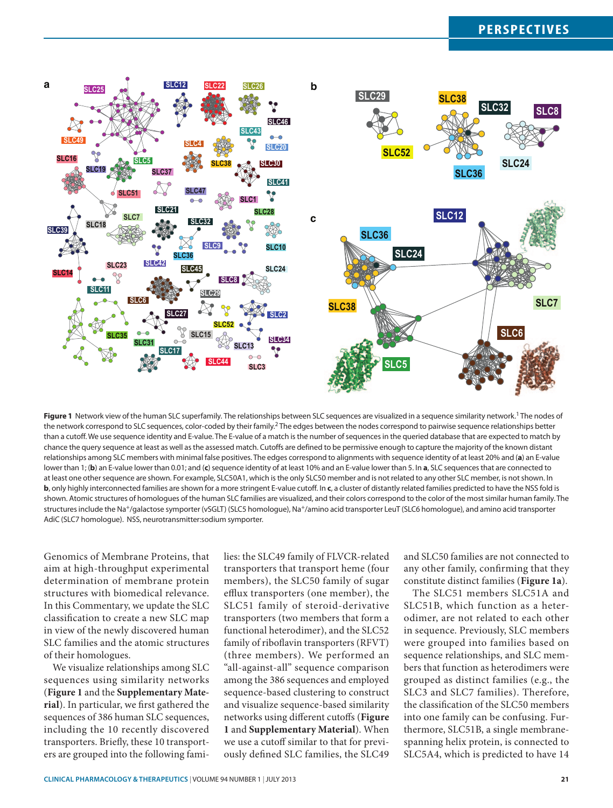### **perspectives**



Figure 1 Network view of the human SLC superfamily. The relationships between SLC sequences are visualized in a sequence similarity network.<sup>1</sup> The nodes of the network correspond to SLC sequences, color-coded by their family.<sup>2</sup> The edges between the nodes correspond to pairwise sequence relationships better than a cutoff. We use sequence identity and E-value. The E-value of a match is the number of sequences in the queried database that are expected to match by chance the query sequence at least as well as the assessed match. Cutoffs are defined to be permissive enough to capture the majority of the known distant relationships among SLC members with minimal false positives. The edges correspond to alignments with sequence identity of at least 20% and (**a**) an E-value lower than 1; (**b**) an E-value lower than 0.01; and (**c**) sequence identity of at least 10% and an E-value lower than 5. In **a**, SLC sequences that are connected to at least one other sequence are shown. For example, SLC50A1, which is the only SLC50 member and is not related to any other SLC member, is not shown. In **b**, only highly interconnected families are shown for a more stringent E-value cutoff. In **c**, a cluster of distantly related families predicted to have the NSS fold is shown. Atomic structures of homologues of the human SLC families are visualized, and their colors correspond to the color of the most similar human family. The structures include the Na<sup>+</sup>/galactose symporter (vSGLT) (SLC5 homologue), Na<sup>+</sup>/amino acid transporter LeuT (SLC6 homologue), and amino acid transporter AdiC (SLC7 homologue). NSS, neurotransmitter:sodium symporter.

Genomics of Membrane Proteins, that aim at high-throughput experimental determination of membrane protein structures with biomedical relevance. In this Commentary, we update the SLC classification to create a new SLC map in view of the newly discovered human SLC families and the atomic structures of their homologues.

We visualize relationships among SLC sequences using similarity networks (**Figure 1** and the **Supplementary Material**). In particular, we first gathered the sequences of 386 human SLC sequences, including the 10 recently discovered transporters. Briefly, these 10 transporters are grouped into the following families: the SLC49 family of FLVCR-related transporters that transport heme (four members), the SLC50 family of sugar efflux transporters (one member), the SLC51 family of steroid-derivative transporters (two members that form a functional heterodimer), and the SLC52 family of riboflavin transporters (RFVT) (three members). We performed an "all-against-all" sequence comparison among the 386 sequences and employed sequence-based clustering to construct and visualize sequence-based similarity networks using different cutoffs (**Figure 1** and **Supplementary Material**). When we use a cutoff similar to that for previously defined SLC families, the SLC49

and SLC50 families are not connected to any other family, confirming that they constitute distinct families (**Figure 1a**).

The SLC51 members SLC51A and SLC51B, which function as a heterodimer, are not related to each other in sequence. Previously, SLC members were grouped into families based on sequence relationships, and SLC members that function as heterodimers were grouped as distinct families (e.g., the SLC3 and SLC7 families). Therefore, the classification of the SLC50 members into one family can be confusing. Furthermore, SLC51B, a single membranespanning helix protein, is connected to SLC5A4, which is predicted to have 14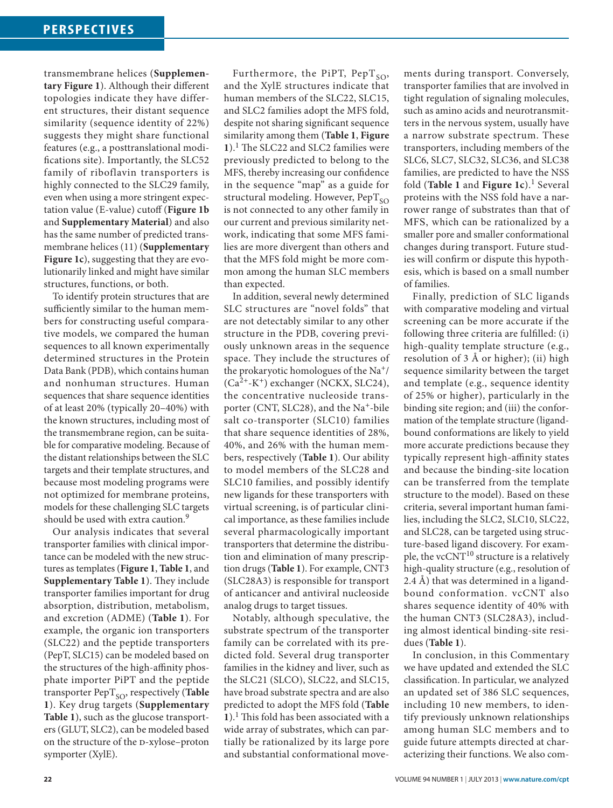transmembrane helices (**Supplementary Figure 1**). Although their different topologies indicate they have different structures, their distant sequence similarity (sequence identity of 22%) suggests they might share functional features (e.g., a posttranslational modifications site). Importantly, the SLC52 family of riboflavin transporters is highly connected to the SLC29 family, even when using a more stringent expectation value (E-value) cutoff (**Figure 1b** and **Supplementary Material**) and also has the same number of predicted transmembrane helices (11) (**Supplementary Figure 1c**), suggesting that they are evolutionarily linked and might have similar structures, functions, or both.

To identify protein structures that are sufficiently similar to the human members for constructing useful comparative models, we compared the human sequences to all known experimentally determined structures in the Protein Data Bank (PDB), which contains human and nonhuman structures. Human sequences that share sequence identities of at least 20% (typically 20–40%) with the known structures, including most of the transmembrane region, can be suitable for comparative modeling. Because of the distant relationships between the SLC targets and their template structures, and because most modeling programs were not optimized for membrane proteins, models for these challenging SLC targets should be used with extra caution.<sup>9</sup>

Our analysis indicates that several transporter families with clinical importance can be modeled with the new structures as templates (**Figure 1**, **Table 1**, and **Supplementary Table 1**). They include transporter families important for drug absorption, distribution, metabolism, and excretion (ADME) (**Table 1**). For example, the organic ion transporters (SLC22) and the peptide transporters (PepT, SLC15) can be modeled based on the structures of the high-affinity phosphate importer PiPT and the peptide transporter PepT<sub>SO</sub>, respectively (Table **1**). Key drug targets (**Supplementary Table 1**), such as the glucose transporters (GLUT, SLC2), can be modeled based on the structure of the D-xylose–proton symporter (XylE).

Furthermore, the PiPT,  $PepT_{SO}$ , and the XylE structures indicate that human members of the SLC22, SLC15, and SLC2 families adopt the MFS fold, despite not sharing significant sequence similarity among them (**Table 1**, **Figure 1**).1 The SLC22 and SLC2 families were previously predicted to belong to the MFS, thereby increasing our confidence in the sequence "map" as a guide for structural modeling. However,  $PepT_{SO}$ is not connected to any other family in our current and previous similarity network, indicating that some MFS families are more divergent than others and that the MFS fold might be more common among the human SLC members than expected.

In addition, several newly determined SLC structures are "novel folds" that are not detectably similar to any other structure in the PDB, covering previously unknown areas in the sequence space. They include the structures of the prokaryotic homologues of the Na+/  $(Ca^{2+}-K^+)$  exchanger (NCKX, SLC24), the concentrative nucleoside transporter (CNT, SLC28), and the Na<sup>+</sup>-bile salt co-transporter (SLC10) families that share sequence identities of 28%, 40%, and 26% with the human members, respectively (**Table 1**). Our ability to model members of the SLC28 and SLC10 families, and possibly identify new ligands for these transporters with virtual screening, is of particular clinical importance, as these families include several pharmacologically important transporters that determine the distribution and elimination of many prescription drugs (**Table 1**). For example, CNT3 (SLC28A3) is responsible for transport of anticancer and antiviral nucleoside analog drugs to target tissues.

Notably, although speculative, the substrate spectrum of the transporter family can be correlated with its predicted fold. Several drug transporter families in the kidney and liver, such as the SLC21 (SLCO), SLC22, and SLC15, have broad substrate spectra and are also predicted to adopt the MFS fold (**Table 1**).1 This fold has been associated with a wide array of substrates, which can partially be rationalized by its large pore and substantial conformational movements during transport. Conversely, transporter families that are involved in tight regulation of signaling molecules, such as amino acids and neurotransmitters in the nervous system, usually have a narrow substrate spectrum. These transporters, including members of the SLC6, SLC7, SLC32, SLC36, and SLC38 families, are predicted to have the NSS fold (**Table 1** and **Figure 1c**).1 Several proteins with the NSS fold have a narrower range of substrates than that of MFS, which can be rationalized by a smaller pore and smaller conformational changes during transport. Future studies will confirm or dispute this hypothesis, which is based on a small number of families.

Finally, prediction of SLC ligands with comparative modeling and virtual screening can be more accurate if the following three criteria are fulfilled: (i) high-quality template structure (e.g., resolution of 3 Å or higher); (ii) high sequence similarity between the target and template (e.g., sequence identity of 25% or higher), particularly in the binding site region; and (iii) the conformation of the template structure (ligandbound conformations are likely to yield more accurate predictions because they typically represent high-affinity states and because the binding-site location can be transferred from the template structure to the model). Based on these criteria, several important human families, including the SLC2, SLC10, SLC22, and SLC28, can be targeted using structure-based ligand discovery. For example, the vcCNT<sup>10</sup> structure is a relatively high-quality structure (e.g., resolution of 2.4 Å) that was determined in a ligandbound conformation. vcCNT also shares sequence identity of 40% with the human CNT3 (SLC28A3), including almost identical binding-site residues (**Table 1**).

In conclusion, in this Commentary we have updated and extended the SLC classification. In particular, we analyzed an updated set of 386 SLC sequences, including 10 new members, to identify previously unknown relationships among human SLC members and to guide future attempts directed at characterizing their functions. We also com-